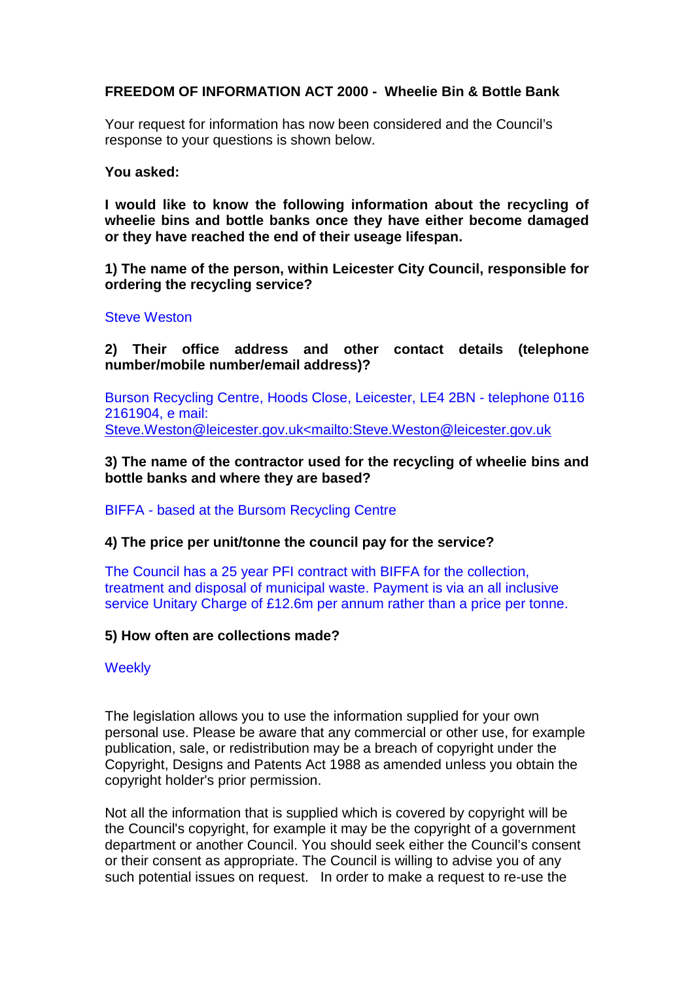## **FREEDOM OF INFORMATION ACT 2000 - Wheelie Bin & Bottle Bank**

Your request for information has now been considered and the Council's response to your questions is shown below.

**You asked:**

**I would like to know the following information about the recycling of wheelie bins and bottle banks once they have either become damaged or they have reached the end of their useage lifespan.**

**1) The name of the person, within Leicester City Council, responsible for ordering the recycling service?**

## Steve Weston

**2) Their office address and other contact details (telephone number/mobile number/email address)?**

Burson Recycling Centre, Hoods Close, Leicester, LE4 2BN - telephone 0116 2161904, e mail: [Steve.Weston@leicester.gov.uk<mailto:Steve.Weston@leicester.gov.uk](mailto:Steve.Weston@leicester.gov.uk%3cmailto:Steve.Weston@leicester.gov.uk)

**3) The name of the contractor used for the recycling of wheelie bins and bottle banks and where they are based?**

BIFFA - based at the Bursom Recycling Centre

## **4) The price per unit/tonne the council pay for the service?**

The Council has a 25 year PFI contract with BIFFA for the collection, treatment and disposal of municipal waste. Payment is via an all inclusive service Unitary Charge of £12.6m per annum rather than a price per tonne.

## **5) How often are collections made?**

**Weekly** 

The legislation allows you to use the information supplied for your own personal use. Please be aware that any commercial or other use, for example publication, sale, or redistribution may be a breach of copyright under the Copyright, Designs and Patents Act 1988 as amended unless you obtain the copyright holder's prior permission.

Not all the information that is supplied which is covered by copyright will be the Council's copyright, for example it may be the copyright of a government department or another Council. You should seek either the Council's consent or their consent as appropriate. The Council is willing to advise you of any such potential issues on request. In order to make a request to re-use the